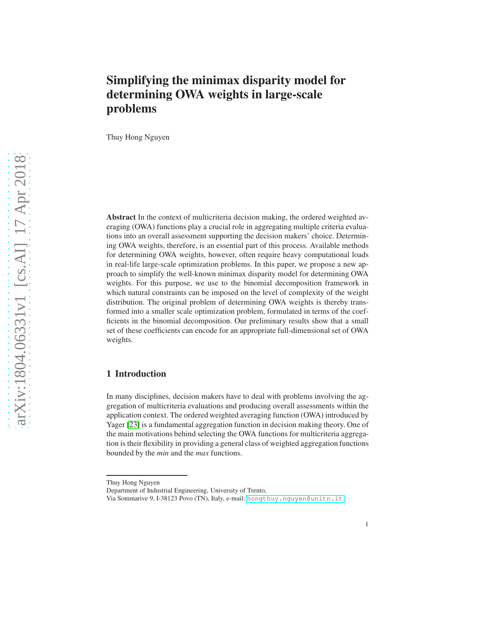# Simplifying the minimax disparity model for determining OWA weights in large-scale problems

Thuy Hong Nguyen

Abstract In the context of multicriteria decision making, the ordered weighted averaging (OWA) functions play a crucial role in aggregating multiple criteria evaluations into an overall assessment supporting the decision makers' choice. Determining OWA weights, therefore, is an essential part of this process. Available methods for determining OWA weights, however, often require heavy computational loads in real-life large-scale optimization problems. In this paper, we propose a new approach to simplify the well-known minimax disparity model for determining OWA weights. For this purpose, we use to the binomial decomposition framework in which natural constraints can be imposed on the level of complexity of the weight distribution. The original problem of determining OWA weights is thereby transformed into a smaller scale optimization problem, formulated in terms of the coefficients in the binomial decomposition. Our preliminary results show that a small set of these coefficients can encode for an appropriate full-dimensional set of OWA weights.

## 1 Introduction

In many disciplines, decision makers have to deal with problems involving the aggregation of multicriteria evaluations and producing overall assessments within the application context. The ordered weighted averaging function (OWA) introduced by Yager [\[23\]](#page-8-0) is a fundamental aggregation function in decision making theory. One of the main motivations behind selecting the OWA functions for multicriteria aggregation is their flexibility in providing a general class of weighted aggregation functions bounded by the *min* and the *max* functions.

Thuy Hong Nguyen

Department of Industrial Engineering, University of Trento,

Via Sommarive 9, I-38123 Povo (TN), Italy, e-mail: <hongthuy.nguyen@unitn.it>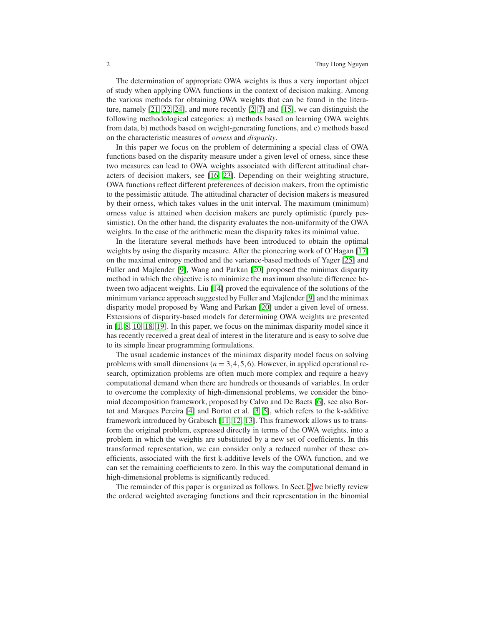The determination of appropriate OWA weights is thus a very important object of study when applying OWA functions in the context of decision making. Among the various methods for obtaining OWA weights that can be found in the literature, namely [\[21,](#page-8-1) [22,](#page-8-2) [24\]](#page-8-3), and more recently [\[2,](#page-7-0) [7\]](#page-7-1) and [\[15\]](#page-8-4), we can distinguish the following methodological categories: a) methods based on learning OWA weights from data, b) methods based on weight-generating functions, and c) methods based on the characteristic measures of *orness* and *disparity*.

In this paper we focus on the problem of determining a special class of OWA functions based on the disparity measure under a given level of orness, since these two measures can lead to OWA weights associated with different attitudinal characters of decision makers, see [\[16,](#page-8-5) [23\]](#page-8-0). Depending on their weighting structure, OWA functions reflect different preferences of decision makers, from the optimistic to the pessimistic attitude. The attitudinal character of decision makers is measured by their orness, which takes values in the unit interval. The maximum (minimum) orness value is attained when decision makers are purely optimistic (purely pessimistic). On the other hand, the disparity evaluates the non-uniformity of the OWA weights. In the case of the arithmetic mean the disparity takes its minimal value.

In the literature several methods have been introduced to obtain the optimal weights by using the disparity measure. After the pioneering work of O'Hagan [\[17\]](#page-8-6) on the maximal entropy method and the variance-based methods of Yager [\[25\]](#page-8-7) and Fuller and Majlender [\[9\]](#page-7-2), Wang and Parkan [\[20\]](#page-8-8) proposed the minimax disparity method in which the objective is to minimize the maximum absolute difference between two adjacent weights. Liu [\[14\]](#page-8-9) proved the equivalence of the solutions of the minimum variance approach suggested by Fuller and Majlender [\[9\]](#page-7-2) and the minimax disparity model proposed by Wang and Parkan [\[20\]](#page-8-8) under a given level of orness. Extensions of disparity-based models for determining OWA weights are presented in [\[1,](#page-7-3) [8,](#page-7-4) [10,](#page-7-5) [18,](#page-8-10) [19\]](#page-8-11). In this paper, we focus on the minimax disparity model since it has recently received a great deal of interest in the literature and is easy to solve due to its simple linear programming formulations.

The usual academic instances of the minimax disparity model focus on solving problems with small dimensions ( $n = 3, 4, 5, 6$ ). However, in applied operational research, optimization problems are often much more complex and require a heavy computational demand when there are hundreds or thousands of variables. In order to overcome the complexity of high-dimensional problems, we consider the binomial decomposition framework, proposed by Calvo and De Baets [\[6\]](#page-7-6), see also Bortot and Marques Pereira [\[4\]](#page-7-7) and Bortot et al. [\[3,](#page-7-8) [5\]](#page-7-9), which refers to the k-additive framework introduced by Grabisch [\[11,](#page-7-10) [12,](#page-8-12) [13\]](#page-8-13). This framework allows us to transform the original problem, expressed directly in terms of the OWA weights, into a problem in which the weights are substituted by a new set of coefficients. In this transformed representation, we can consider only a reduced number of these coefficients, associated with the first k-additive levels of the OWA function, and we can set the remaining coefficients to zero. In this way the computational demand in high-dimensional problems is significantly reduced.

The remainder of this paper is organized as follows. In Sect. [2](#page-2-0) we briefly review the ordered weighted averaging functions and their representation in the binomial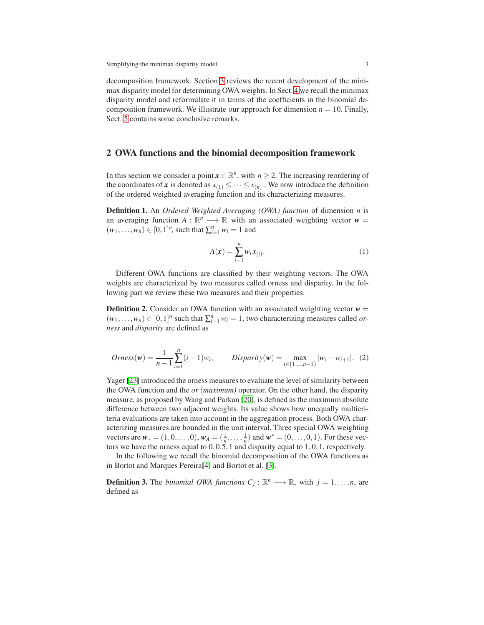decomposition framework. Section [3](#page-3-0) reviews the recent development of the minimax disparity model for determining OWA weights. In Sect. [4](#page-4-0) we recall the minimax disparity model and reformulate it in terms of the coefficients in the binomial decomposition framework. We illustrate our approach for dimension  $n = 10$ . Finally, Sect. [5](#page-7-11) contains some conclusive remarks.

### <span id="page-2-0"></span>2 OWA functions and the binomial decomposition framework

In this section we consider a point  $x \in \mathbb{R}^n$ , with  $n \ge 2$ . The increasing reordering of the coordinates of *x* is denoted as  $x_{(1)} \leq \cdots \leq x_{(n)}$ . We now introduce the definition of the ordered weighted averaging function and its characterizing measures.

Definition 1. An *Ordered Weighted Averaging (OWA) function* of dimension *n* is an averaging function  $A : \mathbb{R}^n \longrightarrow \mathbb{R}$  with an associated weighting vector  $w =$  $(w_1, \ldots, w_n) \in [0, 1]^n$ , such that  $\sum_{i=1}^n w_i = 1$  and

$$
A(\mathbf{x}) = \sum_{i=1}^{n} w_i x_{(i)}.
$$
 (1)

Different OWA functions are classified by their weighting vectors. The OWA weights are characterized by two measures called orness and disparity. In the following part we review these two measures and their properties.

**Definition 2.** Consider an OWA function with an associated weighting vector  $w =$  $(w_1, \ldots, w_n) \in [0, 1]^n$  such that  $\sum_{i=1}^n w_i = 1$ , two characterizing measures called *orness* and *disparity* are defined as

$$
Orness(w) = \frac{1}{n-1} \sum_{i=1}^{n} (i-1)w_i, \qquad Disparity(w) = \max_{i \in \{1, \dots, n-1\}} |w_i - w_{i+1}|. \tag{2}
$$

Yager [\[23\]](#page-8-0) introduced the orness measures to evaluate the level of similarity between the OWA function and the *or (maximum)* operator. On the other hand, the disparity measure, as proposed by Wang and Parkan [\[20\]](#page-8-8), is defined as the maximum absolute difference between two adjacent weights. Its value shows how unequally multicriteria evaluations are taken into account in the aggregation process. Both OWA characterizing measures are bounded in the unit interval. Three special OWA weighting vectors are  $w_* = (1, 0, \dots, 0), w_A = (\frac{1}{n}, \dots, \frac{1}{n})$  and  $w^* = (0, \dots, 0, 1)$ . For these vectors we have the orness equal to  $0, 0.5, 1$  and disparity equal to  $1, 0, 1$ , respectively.

In the following we recall the binomial decomposition of the OWA functions as in Bortot and Marques Pereira[\[4\]](#page-7-7) and Bortot et al. [\[3\]](#page-7-8).

**Definition 3.** The *binomial OWA functions*  $C_j : \mathbb{R}^n \longrightarrow \mathbb{R}$ , with  $j = 1, ..., n$ , are defined as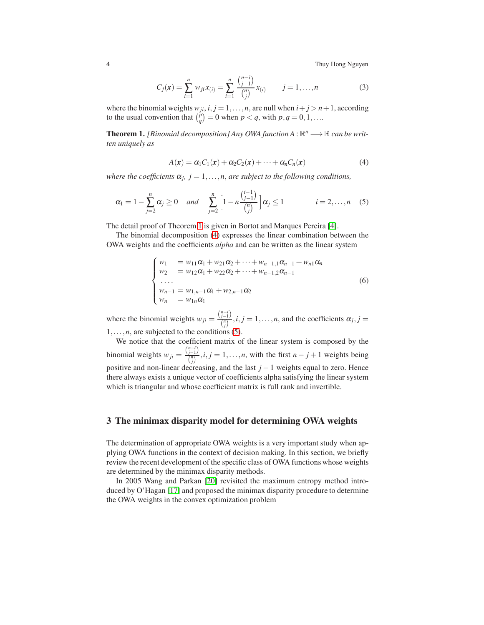4 Thuy Hong Nguyen

$$
C_j(\mathbf{x}) = \sum_{i=1}^n w_{ji} x_{(i)} = \sum_{i=1}^n \frac{\binom{n-i}{j-1}}{\binom{n}{j}} x_{(i)} \qquad j = 1, \dots, n
$$
 (3)

where the binomial weights  $w_{ji}$ ,  $i, j = 1, \ldots, n$ , are null when  $i + j > n + 1$ , according to the usual convention that  $\binom{p}{q} = 0$  when  $p < q$ , with  $p, q = 0, 1, \ldots$ 

<span id="page-3-1"></span>**Theorem 1.** *[Binomial decomposition] Any OWA function A* :  $\mathbb{R}^n \longrightarrow \mathbb{R}$  *can be written uniquely as*

<span id="page-3-2"></span>
$$
A(\mathbf{x}) = \alpha_1 C_1(\mathbf{x}) + \alpha_2 C_2(\mathbf{x}) + \dots + \alpha_n C_n(\mathbf{x})
$$
\n(4)

*where the coefficients*  $\alpha_j$ ,  $j = 1, \ldots, n$ , *are subject to the following conditions*,

<span id="page-3-3"></span>
$$
\alpha_1 = 1 - \sum_{j=2}^n \alpha_j \ge 0 \quad \text{and} \quad \sum_{j=2}^n \left[ 1 - n \frac{\binom{i-1}{j-1}}{\binom{n}{j}} \right] \alpha_j \le 1 \qquad i = 2, \dots, n \quad (5)
$$

The detail proof of Theorem [1](#page-3-1) is given in Bortot and Marques Pereira [\[4\]](#page-7-7).

The binomial decomposition [\(4\)](#page-3-2) expresses the linear combination between the OWA weights and the coefficients *alpha* and can be written as the linear system

$$
\begin{cases}\nw_1 &= w_{11}\alpha_1 + w_{21}\alpha_2 + \dots + w_{n-1,1}\alpha_{n-1} + w_{n1}\alpha_n \\
w_2 &= w_{12}\alpha_1 + w_{22}\alpha_2 + \dots + w_{n-1,2}\alpha_{n-1} \\
\dots \\
w_{n-1} &= w_{1,n-1}\alpha_1 + w_{2,n-1}\alpha_2 \\
w_n &= w_{1n}\alpha_1\n\end{cases} \tag{6}
$$

where the binomial weights  $w_{ji} = \frac{{\binom{n-i}{j-1}}}{{\binom{n}{j}}}$  $\frac{\partial f^{(n)}}{\partial f^{(n)}}$ , *i*, *j* = 1,...,*n*, and the coefficients  $\alpha_j$ , *j* =  $1, \ldots, n$ , are subjected to the conditions [\(5\)](#page-3-3).

We notice that the coefficient matrix of the linear system is composed by the binomial weights  $w_{ji} = \frac{\binom{n-i}{j-1}}{\binom{n}{j}}$  $\left(\frac{n}{j}\right)^{j-1}$ , *i*, *j* = 1,...,*n*, with the first *n* − *j* + 1 weights being positive and non-linear decreasing, and the last *j* − 1 weights equal to zero. Hence there always exists a unique vector of coefficients alpha satisfying the linear system which is triangular and whose coefficient matrix is full rank and invertible.

# <span id="page-3-0"></span>3 The minimax disparity model for determining OWA weights

The determination of appropriate OWA weights is a very important study when applying OWA functions in the context of decision making. In this section, we briefly review the recent development of the specific class of OWA functions whose weights are determined by the minimax disparity methods.

In 2005 Wang and Parkan [\[20\]](#page-8-8) revisited the maximum entropy method introduced by O'Hagan [\[17\]](#page-8-6) and proposed the minimax disparity procedure to determine the OWA weights in the convex optimization problem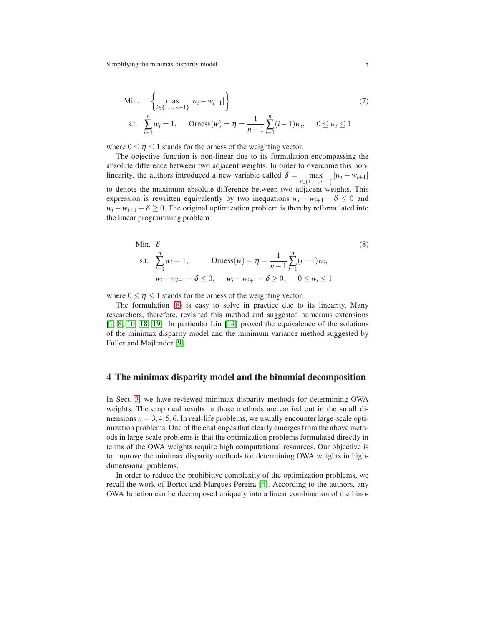Min. 
$$
\left\{\max_{i \in \{1, \dots, n-1\}} |w_i - w_{i+1}|\right\}
$$
(7)  
s.t. 
$$
\sum_{i=1}^{n} w_i = 1, \quad \text{Orness}(w) = \eta = \frac{1}{n-1} \sum_{i=1}^{n} (i-1)w_i, \quad 0 \le w_i \le 1
$$

where  $0 \le \eta \le 1$  stands for the orness of the weighting vector.

The objective function is non-linear due to its formulation encompassing the absolute difference between two adjacent weights. In order to overcome this nonlinearity, the authors introduced a new variable called  $\delta = \max_{i \in \{1, \dots, n-1\}} |w_i - w_{i+1}|$ to denote the maximum absolute difference between two adjacent weights. This expression is rewritten equivalently by two inequations  $w_i - w_{i+1} - \delta \leq 0$  and  $w_i - w_{i+1} + \delta \geq 0$ . The original optimization problem is thereby reformulated into the linear programming problem

<span id="page-4-1"></span>Min. 
$$
\delta
$$
 (8)  
s.t.  $\sum_{i=1}^{n} w_i = 1$ ,  $\text{Orness}(w) = \eta = \frac{1}{n-1} \sum_{i=1}^{n} (i-1)w_i$ ,  
 $w_i - w_{i+1} - \delta \le 0$ ,  $w_i - w_{i+1} + \delta \ge 0$ ,  $0 \le w_i \le 1$ 

where  $0 \le \eta \le 1$  stands for the orness of the weighting vector.

The formulation [\(8\)](#page-4-1) is easy to solve in practice due to its linearity. Many researchers, therefore, revisited this method and suggested numerous extensions [\[1,](#page-7-3) [8,](#page-7-4) [10,](#page-7-5) [18,](#page-8-10) [19\]](#page-8-11). In particular Liu [\[14\]](#page-8-9) proved the equivalence of the solutions of the minimax disparity model and the minimum variance method suggested by Fuller and Majlender [\[9\]](#page-7-2).

## <span id="page-4-0"></span>4 The minimax disparity model and the binomial decomposition

In Sect. [3,](#page-3-0) we have reviewed minimax disparity methods for determining OWA weights. The empirical results in those methods are carried out in the small dimensions  $n = 3, 4, 5, 6$ . In real-life problems, we usually encounter large-scale optimization problems. One of the challenges that clearly emerges from the above methods in large-scale problems is that the optimization problems formulated directly in terms of the OWA weights require high computational resources. Our objective is to improve the minimax disparity methods for determining OWA weights in highdimensional problems.

In order to reduce the prohibitive complexity of the optimization problems, we recall the work of Bortot and Marques Pereira [\[4\]](#page-7-7). According to the authors, any OWA function can be decomposed uniquely into a linear combination of the bino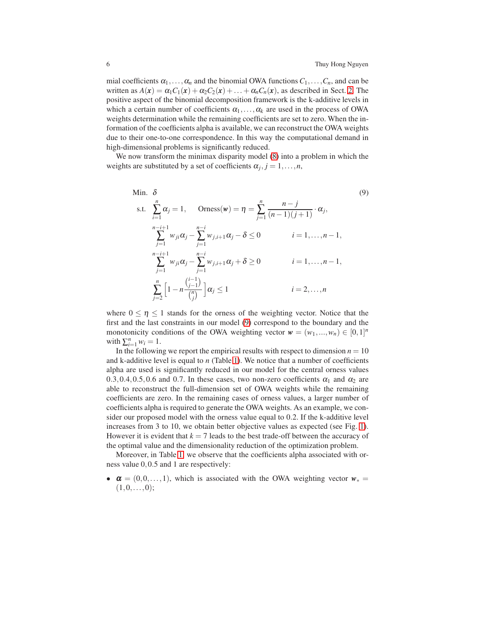mial coefficients  $\alpha_1, \ldots, \alpha_n$  and the binomial OWA functions  $C_1, \ldots, C_n$ , and can be written as  $A(x) = \alpha_1 C_1(x) + \alpha_2 C_2(x) + \ldots + \alpha_n C_n(x)$ , as described in Sect. [2.](#page-2-0) The positive aspect of the binomial decomposition framework is the k-additive levels in which a certain number of coefficients  $\alpha_1, \ldots, \alpha_k$  are used in the process of OWA weights determination while the remaining coefficients are set to zero. When the information of the coefficients alpha is available, we can reconstruct the OWA weights due to their one-to-one correspondence. In this way the computational demand in high-dimensional problems is significantly reduced.

We now transform the minimax disparity model [\(8\)](#page-4-1) into a problem in which the weights are substituted by a set of coefficients  $\alpha_j, j = 1, \ldots, n$ ,

<span id="page-5-0"></span>Min. 
$$
\delta
$$
 (9)  
\ns.t.  $\sum_{i=1}^{n} \alpha_{j} = 1$ ,  $\text{Orness}(w) = \eta = \sum_{j=1}^{n} \frac{n-j}{(n-1)(j+1)} \cdot \alpha_{j}$ ,  
\n $\sum_{j=1}^{n-i+1} w_{ji} \alpha_{j} - \sum_{j=1}^{n-i} w_{j,i+1} \alpha_{j} - \delta \le 0$   $i = 1,...,n-1$ ,  
\n $\sum_{j=1}^{n-i+1} w_{ji} \alpha_{j} - \sum_{j=1}^{n-i} w_{j,i+1} \alpha_{j} + \delta \ge 0$   $i = 1,...,n-1$ ,  
\n $\sum_{j=2}^{n} \left[1 - n \frac{\binom{i-1}{j-1}}{\binom{n}{j}}\right] \alpha_{j} \le 1$   $i = 2,...,n$ 

where  $0 \le \eta \le 1$  stands for the orness of the weighting vector. Notice that the first and the last constraints in our model [\(9\)](#page-5-0) correspond to the boundary and the monotonicity conditions of the OWA weighting vector  $w = (w_1, ..., w_n) \in [0,1]^n$ with  $\sum_{i=1}^{n} w_i = 1$ .

In the following we report the empirical results with respect to dimension  $n = 10$ and k-additive level is equal to *n* (Table [1\)](#page-6-0). We notice that a number of coefficients alpha are used is significantly reduced in our model for the central orness values 0.3,0.4,0.5,0.6 and 0.7. In these cases, two non-zero coefficients  $\alpha_1$  and  $\alpha_2$  are able to reconstruct the full-dimension set of OWA weights while the remaining coefficients are zero. In the remaining cases of orness values, a larger number of coefficients alpha is required to generate the OWA weights. As an example, we consider our proposed model with the orness value equal to 0.2. If the k-additive level increases from 3 to 10, we obtain better objective values as expected (see Fig. [1\)](#page-6-1). However it is evident that  $k = 7$  leads to the best trade-off between the accuracy of the optimal value and the dimensionality reduction of the optimization problem.

Moreover, in Table [1,](#page-6-0) we observe that the coefficients alpha associated with orness value 0,0.5 and 1 are respectively:

•  $\alpha = (0,0,\ldots,1)$ , which is associated with the OWA weighting vector  $w_* =$  $(1,0,\ldots,0);$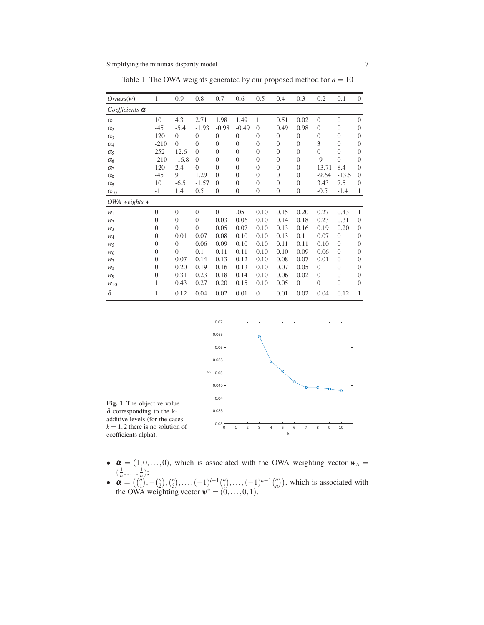| Orness(w)             | 1        | 0.9            | 0.8      | 0.7            | 0.6      | 0.5            | 0.4            | 0.3              | 0.2              | 0.1              | $\boldsymbol{0}$ |
|-----------------------|----------|----------------|----------|----------------|----------|----------------|----------------|------------------|------------------|------------------|------------------|
| Coefficients $\alpha$ |          |                |          |                |          |                |                |                  |                  |                  |                  |
| $\alpha_1$            | 10       | 4.3            | 2.71     | 1.98           | 1.49     | 1              | 0.51           | 0.02             | $\overline{0}$   | $\theta$         | $\theta$         |
| $\alpha$              | $-45$    | $-5.4$         | $-1.93$  | $-0.98$        | $-0.49$  | $\theta$       | 0.49           | 0.98             | $\theta$         | $\theta$         | $\overline{0}$   |
| $\alpha_3$            | 120      | $\theta$       | $\theta$ | $\overline{0}$ | $\theta$ | $\overline{0}$ | $\theta$       | $\theta$         | $\boldsymbol{0}$ | $\boldsymbol{0}$ | $\overline{0}$   |
| $\alpha_4$            | $-210$   | $\Omega$       | $\theta$ | $\overline{0}$ | $\theta$ | $\theta$       | $\theta$       | $\theta$         | 3                | $\theta$         | $\theta$         |
| $\alpha_5$            | 252      | 12.6           | $\theta$ | $\overline{0}$ | $\theta$ | $\theta$       | $\theta$       | $\theta$         | $\overline{0}$   | $\overline{0}$   | $\overline{0}$   |
| $\alpha_6$            | $-210$   | $-16.8$        | $\Omega$ | $\theta$       | $\Omega$ | $\theta$       | $\theta$       | $\theta$         | $-9$             | $\overline{0}$   | $\overline{0}$   |
| $\alpha$ <sub>7</sub> | 120      | 2.4            | $\Omega$ | $\overline{0}$ | $\theta$ | $\theta$       | $\overline{0}$ | $\theta$         | 13.71            | 8.4              | $\overline{0}$   |
| $\alpha_8$            | $-45$    | 9              | 1.29     | $\Omega$       | $\theta$ | $\theta$       | $\overline{0}$ | $\theta$         | $-9.64$          | $-13.5$          | $\overline{0}$   |
| $\alpha$ <sup>o</sup> | 10       | $-6.5$         | $-1.57$  | $\theta$       | $\theta$ | $\theta$       | $\theta$       | $\theta$         | 3.43             | 7.5              | $\overline{0}$   |
| $\alpha_{10}$         | $-1$     | 1.4            | 0.5      | $\overline{0}$ | $\theta$ | $\overline{0}$ | $\mathbf{0}$   | $\mathbf{0}$     | $-0.5$           | $-1.4$           | $\mathbf{1}$     |
| OWA weights w         |          |                |          |                |          |                |                |                  |                  |                  |                  |
| $W_1$                 | $\Omega$ | $\Omega$       | $\Omega$ | $\Omega$       | .05      | 0.10           | 0.15           | 0.20             | 0.27             | 0.43             | 1                |
| W <sub>2</sub>        | $\Omega$ | $\Omega$       | $\Omega$ | 0.03           | 0.06     | 0.10           | 0.14           | 0.18             | 0.23             | 0.31             | $\overline{0}$   |
| $W_3$                 | $\Omega$ | $\Omega$       | $\theta$ | 0.05           | 0.07     | 0.10           | 0.13           | 0.16             | 0.19             | 0.20             | $\overline{0}$   |
| $W_4$                 | $\Omega$ | 0.01           | 0.07     | 0.08           | 0.10     | 0.10           | 0.13           | 0.1              | 0.07             | $\theta$         | $\overline{0}$   |
| $W_5$                 | $\theta$ | $\overline{0}$ | 0.06     | 0.09           | 0.10     | 0.10           | 0.11           | 0.11             | 0.10             | $\theta$         | $\overline{0}$   |
| $W_6$                 | $\theta$ | $\Omega$       | 0.1      | 0.11           | 0.11     | 0.10           | 0.10           | 0.09             | 0.06             | $\theta$         | $\mathbf{0}$     |
| $W_7$                 | $\Omega$ | 0.07           | 0.14     | 0.13           | 0.12     | 0.10           | 0.08           | 0.07             | 0.01             | $\theta$         | $\overline{0}$   |
| $W_8$                 | $\Omega$ | 0.20           | 0.19     | 0.16           | 0.13     | 0.10           | 0.07           | 0.05             | $\theta$         | $\theta$         | $\overline{0}$   |
| WQ                    | $\theta$ | 0.31           | 0.23     | 0.18           | 0.14     | 0.10           | 0.06           | 0.02             | $\overline{0}$   | $\theta$         | $\overline{0}$   |
| $W_{10}$              | 1        | 0.43           | 0.27     | 0.20           | 0.15     | 0.10           | 0.05           | $\boldsymbol{0}$ | $\mathbf{0}$     | $\boldsymbol{0}$ | $\mathbf{0}$     |
| $\delta$              | 1        | 0.12           | 0.04     | 0.02           | 0.01     | $\theta$       | 0.01           | 0.02             | 0.04             | 0.12             | $\mathbf{1}$     |

<span id="page-6-0"></span>Table 1: The OWA weights generated by our proposed method for  $n = 10$ 

<span id="page-6-1"></span>

Fig. 1 The objective value  $\delta$  corresponding to the kadditive levels (for the cases  $k = 1, 2$  there is no solution of coefficients alpha).

- $\alpha = (1,0,\ldots,0)$ , which is associated with the OWA weighting vector  $w_A =$  $\left(\frac{1}{n},\ldots,\frac{1}{n}\right);$
- $\mathbf{\alpha} = \left( \binom{n}{1}, -\binom{n}{2}, \binom{n}{3}, \ldots, (-1)^{i-1} \binom{n}{i}, \ldots, (-1)^{n-1} \binom{n}{n} \right)$ , which is associated with the OWA weighting vector  $w^* = (0, \ldots, 0, 1)$ .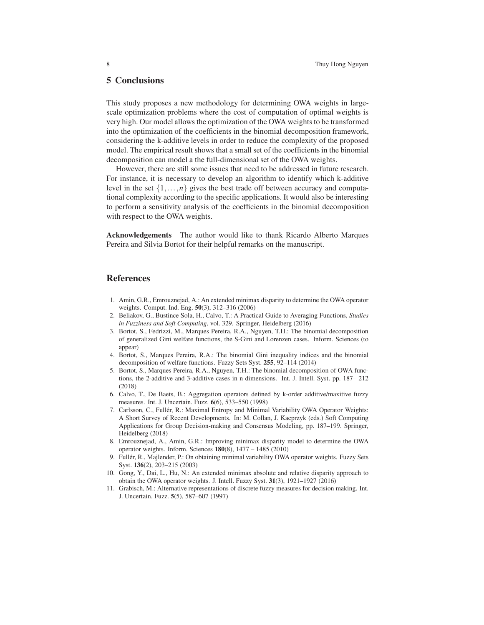## <span id="page-7-11"></span>5 Conclusions

This study proposes a new methodology for determining OWA weights in largescale optimization problems where the cost of computation of optimal weights is very high. Our model allows the optimization of the OWA weights to be transformed into the optimization of the coefficients in the binomial decomposition framework, considering the k-additive levels in order to reduce the complexity of the proposed model. The empirical result shows that a small set of the coefficients in the binomial decomposition can model a the full-dimensional set of the OWA weights.

However, there are still some issues that need to be addressed in future research. For instance, it is necessary to develop an algorithm to identify which k-additive level in the set  $\{1,\ldots,n\}$  gives the best trade off between accuracy and computational complexity according to the specific applications. It would also be interesting to perform a sensitivity analysis of the coefficients in the binomial decomposition with respect to the OWA weights.

Acknowledgements The author would like to thank Ricardo Alberto Marques Pereira and Silvia Bortot for their helpful remarks on the manuscript.

### References

- <span id="page-7-3"></span>1. Amin, G.R., Emrouznejad, A.: An extended minimax disparity to determine the OWA operator weights. Comput. Ind. Eng. 50(3), 312–316 (2006)
- <span id="page-7-0"></span>2. Beliakov, G., Bustince Sola, H., Calvo, T.: A Practical Guide to Averaging Functions, *Studies in Fuzziness and Soft Computing*, vol. 329. Springer, Heidelberg (2016)
- <span id="page-7-8"></span>3. Bortot, S., Fedrizzi, M., Marques Pereira, R.A., Nguyen, T.H.: The binomial decomposition of generalized Gini welfare functions, the S-Gini and Lorenzen cases. Inform. Sciences (to appear)
- <span id="page-7-7"></span>4. Bortot, S., Marques Pereira, R.A.: The binomial Gini inequality indices and the binomial decomposition of welfare functions. Fuzzy Sets Syst. 255, 92–114 (2014)
- <span id="page-7-9"></span>5. Bortot, S., Marques Pereira, R.A., Nguyen, T.H.: The binomial decomposition of OWA functions, the 2-additive and 3-additive cases in n dimensions. Int. J. Intell. Syst. pp. 187– 212 (2018)
- <span id="page-7-6"></span>6. Calvo, T., De Baets, B.: Aggregation operators defined by k-order additive/maxitive fuzzy measures. Int. J. Uncertain. Fuzz. 6(6), 533–550 (1998)
- <span id="page-7-1"></span>7. Carlsson, C., Fullér, R.: Maximal Entropy and Minimal Variability OWA Operator Weights: A Short Survey of Recent Developments. In: M. Collan, J. Kacprzyk (eds.) Soft Computing Applications for Group Decision-making and Consensus Modeling, pp. 187–199. Springer, Heidelberg (2018)
- <span id="page-7-4"></span>8. Emrouznejad, A., Amin, G.R.: Improving minimax disparity model to determine the OWA operator weights. Inform. Sciences 180(8), 1477 – 1485 (2010)
- <span id="page-7-2"></span>9. Fullér, R., Majlender, P.: On obtaining minimal variability OWA operator weights. Fuzzy Sets Syst. 136(2), 203–215 (2003)
- <span id="page-7-5"></span>10. Gong, Y., Dai, L., Hu, N.: An extended minimax absolute and relative disparity approach to obtain the OWA operator weights. J. Intell. Fuzzy Syst. 31(3), 1921–1927 (2016)
- <span id="page-7-10"></span>11. Grabisch, M.: Alternative representations of discrete fuzzy measures for decision making. Int. J. Uncertain. Fuzz. 5(5), 587–607 (1997)